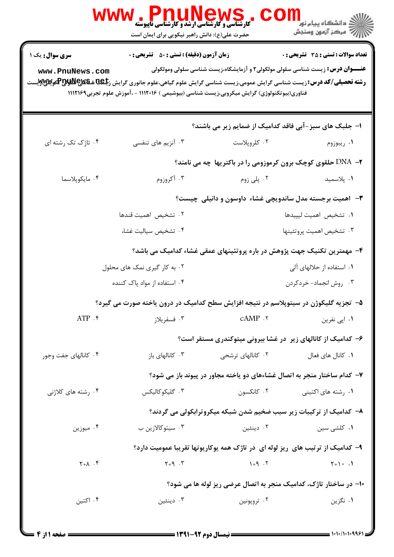|                        | ، WWW . المسلم السابق السابق باليوسته<br>کارشناسی و کارشناسی ارشد و کارشناسی ناپيوسته<br>حضرت علی(ع): دانش راهبر نیکویی برای ایمان است                                                                                                                      |                          | ڪ دانشڪاه پيا <sub>م</sub> نور "<br>ر <i>ڳ مرڪ</i> ز آزمون وسنڊش                     |
|------------------------|-------------------------------------------------------------------------------------------------------------------------------------------------------------------------------------------------------------------------------------------------------------|--------------------------|--------------------------------------------------------------------------------------|
| <b>سری سوال :</b> یک ۱ | <b>زمان آزمون (دقیقه) : تستی : 50 ٪ تشریحی : 0</b>                                                                                                                                                                                                          |                          | <b>تعداد سوالات : تستی : 35 ٪ تشریحی : 0</b>                                         |
| www.PnuNews.com        | <b>رشته تحصیلی/کد درس:</b> زیست شناسی گرایش عمومی،زیست شناسی گرایش علوم گیاهی،علوم جانوری گرایش ز <b>£8&amp;&amp;&amp;&amp;&amp;&amp;&amp;&amp;و@</b> @يو&wِي<br>فناوری(بیوتکنولوژی) گرایش میکروبی،زیست شناسی (بیوشیمی ) ۱۱۱۲۰۱۶ - ،آموزش علوم تجربی۱۱۱۲۱۶۹ |                          | <b>عنـــوان درس:</b> زیست شناسی سلولی مولکولی۲ و آزمایشگاه،زیست شناسی سلولی ومولکولی |
|                        |                                                                                                                                                                                                                                                             |                          | ا- جلبک های سبز-آبی فاقد کدامیک از ضمایم زیر می باشند؟                               |
| ۰۴ تاژک تک رشته ای     | ۰۳ آنزیم های تنفسی                                                                                                                                                                                                                                          | ۰۲ کلروپلاست             | ۰۱ ریبوزوم                                                                           |
|                        |                                                                                                                                                                                                                                                             |                          | <b>۲- DNA حلقوی کوچک برون کرموزومی را در باکتریها چه می نامند؟</b>                   |
| ۰۴ مايكوپلاسما         | ۰۳ آکروزوم                                                                                                                                                                                                                                                  | ۰۲ پلی زوم               | ٠١. پلاسميد                                                                          |
|                        |                                                                                                                                                                                                                                                             |                          | <b>۳</b> - آهمیت برجسته مدل ساندویچی غشاء داوسون و دانیلی چیست؟                      |
|                        | ٠٢ تشخيص اهميت قندها                                                                                                                                                                                                                                        |                          | ٠١ تشخيص اهميت ليپيدها                                                               |
|                        | ۰۴ تشخيص سياليت غشا،                                                                                                                                                                                                                                        |                          | ٠٣ تشخيص اهميت پروتئينها                                                             |
|                        |                                                                                                                                                                                                                                                             |                          | ۴– مهمترین تکنیک جهت پژوهش در باره پروتئینهای عمقی غشاء کدامیک می باشد؟              |
|                        | ۰۲ به کار گیری نمک های محلول                                                                                                                                                                                                                                |                          | ۰۱ استفاده از حلالهای آلی                                                            |
|                        | ۰۴ استفاده از مواد پاک کننده                                                                                                                                                                                                                                |                          | ۰۳ روش انجماد- خردکردن                                                               |
|                        | ۵– تجزیه گلیکوژن در سیتوپلاسم در نتیجه افزایش سطح کدامیک در درون یاخته صورت می گیرد؟                                                                                                                                                                        |                          |                                                                                      |
| $ATP$ .                | ۰۳ فسفريلاز                                                                                                                                                                                                                                                 | CAMP .٢                  | ۰۱ اپی نفرین                                                                         |
|                        |                                                                                                                                                                                                                                                             |                          | ۶– کدامیک از کانالهای زیر در غشا بیرونی میتوکندری مستقر است؟                         |
| ۰۴ کانالهای جفت وجور   | ۰۳ کانالهای باز                                                                                                                                                                                                                                             | ۰۲ کانالهای ترشحی        | ۰۱ كانال هاي فعال                                                                    |
|                        |                                                                                                                                                                                                                                                             |                          | ۷- کدام ساختار منجر به اتصال غشاءهای دو یاخته مجاور در پیوند باز می شود؟             |
| ۰۴ رشته های کلاژنی     | ۰۳ گلیکوکالیکس                                                                                                                                                                                                                                              | ۰۲ کانکسون               | ۰۱ رشته های اکتینی                                                                   |
|                        |                                                                                                                                                                                                                                                             |                          | ۸- کدامیک از ترکیبات زیر سبب ضخیم شدن شبکه میکروترابکولی می گردند؟                   |
| ۰۴ میوزین              | ۰۳ سیتوکالازین ب                                                                                                                                                                                                                                            | دينئين $\cdot$ ۲ $\cdot$ | ۰۱ کلشی سین                                                                          |
|                        |                                                                                                                                                                                                                                                             |                          | ۹– کدامیک از ترتیب های ریز لوله ای در تاژک همه یوکاریوتها تقریبا عمومیت دارد؟        |
| $Y+A$ . ۴              | $Y + 9$ . $Y$                                                                                                                                                                                                                                               | $1 + 9$ . T              | $Y+1$ . 1                                                                            |
|                        |                                                                                                                                                                                                                                                             |                          | ۱۰– در ساختار تاژک، کدامیک منجر به اتصال عرضی ریز لوله ها می شود؟                    |
| ۰۴ اکتین               | ۰۳ دینئین                                                                                                                                                                                                                                                   | ۰۲ تروپونین              | ۰۱ نگزین                                                                             |
|                        |                                                                                                                                                                                                                                                             |                          |                                                                                      |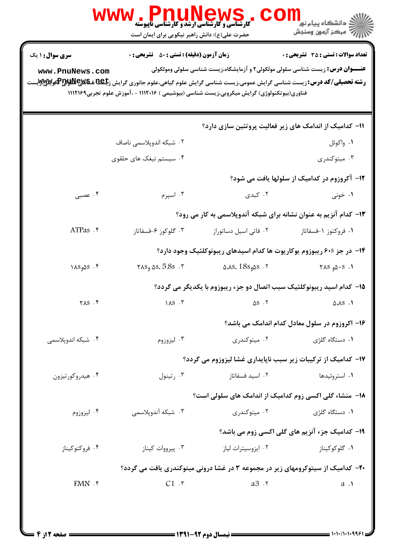|                                                                                                                                                                              | <b>www.PnuNews</b><br><b>کارشناسی و کارشناسی ارشد و کارشناسی ناپیوسته</b><br>حضرت علی(ع): دانش راهبر نیکویی برای ایمان است | COI                                                                                                                                                                                | الان دانشگاه پيام نور دارد.<br>الان مرکز آزمون وسنجش |
|------------------------------------------------------------------------------------------------------------------------------------------------------------------------------|----------------------------------------------------------------------------------------------------------------------------|------------------------------------------------------------------------------------------------------------------------------------------------------------------------------------|------------------------------------------------------|
| سری سوال: ۱ یک<br>www.PnuNews.com<br><b>رشته تحصیلی/کد درس:</b> زیست شناسی گرایش عمومی،زیست شناسی گرایش علوم گیاهی،علوم جانوری گرایش ز <b>جلگ&amp; تهلای©لیلاپ©گ</b> هرِلایی | <b>زمان آزمون (دقیقه) : تستی : 50 ٪ تشریحی : 0</b>                                                                         | <b>عنـــوان درس:</b> زیست شناسی سلولی مولکولی۲ و آزمایشگاه،زیست شناسی سلولی ومولکولی<br>فناوری(بیوتکنولوژی) گرایش میکروبی،زیست شناسی (بیوشیمی ) ۱۱۱۲۰۱۶ - ،آموزش علوم تجربی۱۱۱۲۱۶۹ | <b>تعداد سوالات : تستي : 35 ٪ تشریحي : 0</b>         |
|                                                                                                                                                                              |                                                                                                                            | 11- کدامیک از اندامک های زیر فعالیت پروتئین سازی دارد؟                                                                                                                             |                                                      |
|                                                                                                                                                                              | ۰۲ شبکه اندوپلاسمی ناصاف                                                                                                   |                                                                                                                                                                                    | ۰۱ واکوئل                                            |
|                                                                                                                                                                              | ۰۴ سیستم تیغک های حلقوی                                                                                                    |                                                                                                                                                                                    | ۰۳ میتوکندری                                         |
|                                                                                                                                                                              |                                                                                                                            |                                                                                                                                                                                    | <b>۱۲</b> – آکروزوم در کدامیک از سلولها یافت می شود؟ |
| ۰۴ عصبی                                                                                                                                                                      | ۰۳ اسپرم                                                                                                                   | ۰۲ کېدی                                                                                                                                                                            | ۰۱ خونی                                              |
|                                                                                                                                                                              |                                                                                                                            | ۱۳- کدام آنزیم به عنوان نشانه برای شبکه آندوپلاسمی به کار می رود؟                                                                                                                  |                                                      |
| ATPas . ۴                                                                                                                                                                    | ۰۳ گلوکوز ۶-فسفاتاز                                                                                                        | ٠٢ فاتى اسيل دساتوراز                                                                                                                                                              | ۰۱ فروکتوز ۱-فسفاتاز                                 |
|                                                                                                                                                                              |                                                                                                                            | ۱۴– در جز ۶۰۶ ریبوزوم یوکاریوت ها کدام اسیدهای ریبونوکلئیک وجود دارد؟                                                                                                              |                                                      |
| $\lambda S_9 \Delta S$ .۴                                                                                                                                                    | $\forall$ 5.8s $\delta$ 5.8s $\cdot$ $\forall$                                                                             | $\Delta A S$ ، $18s$ و $\Delta S$ ۰۲                                                                                                                                               | $\lambda S_{\theta} \Delta S$ . 1                    |
|                                                                                                                                                                              |                                                                                                                            | ۱۵– کدام اسید ریبونوکلئیک سبب اتصال دو جزء ریبوزوم با یکدیگر می گردد؟                                                                                                              |                                                      |
| $YAS$ . $F$                                                                                                                                                                  |                                                                                                                            | $\Delta S \cdot Y$ and $\Delta S \cdot Y$ and $\Delta A S \cdot Y$                                                                                                                 |                                                      |
|                                                                                                                                                                              |                                                                                                                            |                                                                                                                                                                                    | ۱۶– اکروزوم در سلول معادل کدام اندامک می باشد؟       |
| ۰۴ شبکه اندویلاسمی                                                                                                                                                           | ۰۳ لیزوزوم                                                                                                                 | ۰۲ میتوکندری                                                                                                                                                                       | ۰۱ دستگاه گلژی                                       |
|                                                                                                                                                                              |                                                                                                                            |                                                                                                                                                                                    |                                                      |
|                                                                                                                                                                              |                                                                                                                            | ۱۷- کدامیک از ترکیبات زیر سبب ناپایداری غشا لیزوزوم می گردد؟                                                                                                                       |                                                      |
| ۰۴ هیدروکورتیزون                                                                                                                                                             | رتينول $\cdot$ ۳ $\cdot$                                                                                                   | ۰۲ اسید فسفاتاز                                                                                                                                                                    | ۰۱ استروئیدها                                        |
|                                                                                                                                                                              |                                                                                                                            | ۱۸- منشاء گلی اکسی زوم کدامیک از اندامک های سلولی است؟                                                                                                                             |                                                      |
| ۰۴ ليزوزوم                                                                                                                                                                   | ۰۳ شبکه آندوپلاسمی                                                                                                         | ۰۲ میتوکندری                                                                                                                                                                       | ۰۱ دستگاه گلژی                                       |
|                                                                                                                                                                              |                                                                                                                            |                                                                                                                                                                                    | 19- کدامیک جزء آنزیم های گلی اکسی زوم می باشد؟       |
| ۰۴ فروکتوکیناز                                                                                                                                                               | ۰۳ پیرووات کیناز                                                                                                           | ۰۲ ایزوسیترات لیاز                                                                                                                                                                 | ۰۱ گلوکوکیناز                                        |
|                                                                                                                                                                              |                                                                                                                            | ۲۰- کدامیک از سیتوکرومهای زیر در مجموعه ۳ در غشا درونی میتوکندری یافت می گردد؟                                                                                                     |                                                      |
| $FMN$ $\cdot$                                                                                                                                                                | C1.7                                                                                                                       | a3 .r                                                                                                                                                                              | $a \cdot \mathbf{1}$                                 |
|                                                                                                                                                                              |                                                                                                                            |                                                                                                                                                                                    |                                                      |
|                                                                                                                                                                              |                                                                                                                            |                                                                                                                                                                                    |                                                      |
| <b>: صفحه 21ز 4</b>                                                                                                                                                          |                                                                                                                            | <b>==</b> نیمسال دوم ۹۲-۱۳۹۱ <b>=</b>                                                                                                                                              | = \^\^/\^\^996\=3                                    |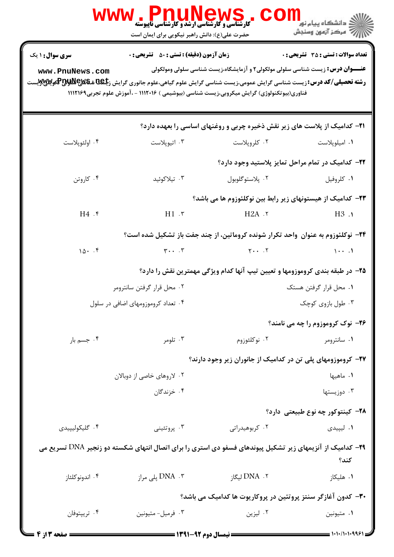|                                                                                                                                                                                      | ، IP MUNEWS کا استفادها<br>کارشناسی و کارشناسی ارشد و کارشناسی ناپیوسته<br>حضرت علی(ع): دانش راهبر نیکویی برای ایمان است                         |                                                                                      | <mark>≦</mark> دانشگاه پیام نو <mark>ر</mark><br><i>[[7</i> مرڪز آزمون وسنڊش |
|--------------------------------------------------------------------------------------------------------------------------------------------------------------------------------------|--------------------------------------------------------------------------------------------------------------------------------------------------|--------------------------------------------------------------------------------------|------------------------------------------------------------------------------|
| <b>سری سوال : ۱ یک</b><br>www.PnuNews.com<br><b>رشته تحصیلی/کد درس:</b> زیست شناسی گرایش عمومی،زیست شناسی گرایش علوم گیاهی،علوم جانوری گرایش ز <b>یگهای های این این این این</b><br>. | <b>زمان آزمون (دقیقه) : تستی : 50 ٪ تشریحی : 0</b><br>فناوری(بیوتکنولوژی) گرایش میکروبی،زیست شناسی (بیوشیمی ) ۱۱۱۲۰۱۶ - ،آموزش علوم تجربی۱۱۱۲۱۶۹ | <b>عنـــوان درس:</b> زیست شناسی سلولی مولکولی۲ و آزمایشگاه،زیست شناسی سلولی ومولکولی | <b>تعداد سوالات : تستی : 35 - تشریحی : 0</b>                                 |
|                                                                                                                                                                                      |                                                                                                                                                  | <b>۲۱</b> - کدامیک از پلاست های زیر نقش ذخیره چربی و روغنهای اساسی را بعهده دارد؟    |                                                                              |
| ۰۴ اولئوپلاست                                                                                                                                                                        | ۰۳ اتيوپلاست                                                                                                                                     | ۰۲ کلروپلاست                                                                         | ۰۱ امیلوپلاست                                                                |
|                                                                                                                                                                                      |                                                                                                                                                  |                                                                                      | ۲۲– کدامیک در تمام مراحل تمایز پلاستید وجود دارد؟                            |
| ۰۴ کاروتن                                                                                                                                                                            | ۰۳ تيلاکوئيد                                                                                                                                     | ۰۲ پلاستوگلوبول                                                                      | ٠١ كلروفيل                                                                   |
|                                                                                                                                                                                      |                                                                                                                                                  | ۲۳– کدامیک از هیستونهای زیر رابط بین نوکلئوزوم ها می باشد؟                           |                                                                              |
| H4.                                                                                                                                                                                  | $H1 \cdot r$ $H2A \cdot r$                                                                                                                       |                                                                                      | H3.1                                                                         |
|                                                                                                                                                                                      |                                                                                                                                                  | ۲۴− نوکلئوزوم به عنوان ۖ واحد تکرار شونده کروماتین، از چند جفت باز تشکیل شده است؟    |                                                                              |
| 10.7                                                                                                                                                                                 |                                                                                                                                                  | $\gamma \cdot \cdot \cdot \gamma$ $\gamma \cdot \cdot \cdot \gamma$                  | $\cdots$                                                                     |
|                                                                                                                                                                                      |                                                                                                                                                  | ۲۵– در طبقه بندی کروموزومها و تعیین تیپ آنها کدام ویژگی مهمترین نقش را دارد؟         |                                                                              |
|                                                                                                                                                                                      | ۰۲ محل قرار گرفتن سانترومر                                                                                                                       |                                                                                      | ۰۱ محل قرار گرفتن هستک                                                       |
|                                                                                                                                                                                      | ۰۴ تعداد کروموزومهای اضافی در سلول                                                                                                               |                                                                                      | ۰۳ طول بازوی کوچک                                                            |
|                                                                                                                                                                                      |                                                                                                                                                  |                                                                                      | 76- نوک کروموزوم را چه می نامند؟                                             |
| ۰۴ جسم بار                                                                                                                                                                           | ۰۳ تلومر                                                                                                                                         | ۰۲ نوکلئوزوم                                                                         | ۰۱ سانترومر                                                                  |
|                                                                                                                                                                                      |                                                                                                                                                  | ۲۷- کروموزومهای پلی تن در کدامیک از جانوران زیر وجود دارند؟                          |                                                                              |
|                                                                                                                                                                                      | ۰۲ لاروهای خاصی از دوبالان                                                                                                                       |                                                                                      | ٠١. ماهيها                                                                   |
|                                                                                                                                                                                      | ۰۴ خزندگان                                                                                                                                       |                                                                                      | ۰۳ دوزیستها                                                                  |
|                                                                                                                                                                                      |                                                                                                                                                  |                                                                                      | <b>۲۸</b> – کینتوکور چه نوع طبیعتی  دارد؟                                    |
| ۰۴ گليکوليپيدي                                                                                                                                                                       | بروتئينى $\cdot^{\mathsf{w}}$                                                                                                                    | ۰۲ کربوهیدراتی                                                                       | ۰۱ لیپیدی                                                                    |
|                                                                                                                                                                                      | <b>۲۹</b> - کدامیک از آنزیمهای زیر تشکیل پیوندهای فسفو دی استری را برای اتصال انتهای شکسته دو زنجیر DNA تسریع می                                 |                                                                                      | كند؟                                                                         |
| ۰۴ اندونوكلئاز                                                                                                                                                                       | DNA . ۳ پلی مراز                                                                                                                                 | ۲.  DNA لیگاز                                                                        | ٠١. هليكاز                                                                   |
|                                                                                                                                                                                      |                                                                                                                                                  | ۳۰– کدون آغازگر سنتز پروتئین در پروکاریوت ها کدامیک می باشد؟                         |                                                                              |
| ۰۴ تريپتوفان                                                                                                                                                                         | ۰۳ فرمیل- متیونین                                                                                                                                | ۰۲ لیزین                                                                             | ۰۱ متيونين                                                                   |
| <b>: صفحه 3 از 4</b>                                                                                                                                                                 | = نیمسال دوم ۹۲-۱۳۹۱ =                                                                                                                           |                                                                                      | = 1・1・/1・1・9961 ;                                                            |